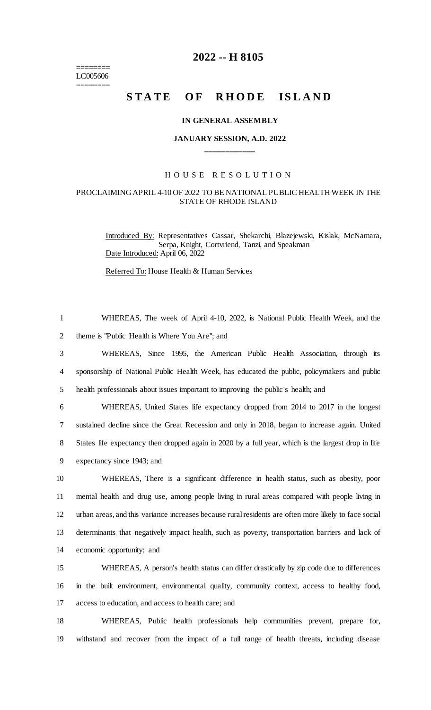$=$ LC005606 ========

## **2022 -- H 8105**

# STATE OF RHODE ISLAND

#### **IN GENERAL ASSEMBLY**

### **JANUARY SESSION, A.D. 2022 \_\_\_\_\_\_\_\_\_\_\_\_**

#### H O U S E R E S O L U T I O N

#### PROCLAIMING APRIL 4-10 OF 2022 TO BE NATIONAL PUBLIC HEALTH WEEK IN THE STATE OF RHODE ISLAND

Introduced By: Representatives Cassar, Shekarchi, Blazejewski, Kislak, McNamara, Serpa, Knight, Cortvriend, Tanzi, and Speakman Date Introduced: April 06, 2022

Referred To: House Health & Human Services

| $\mathbf{1}$   | WHEREAS, The week of April 4-10, 2022, is National Public Health Week, and the                        |
|----------------|-------------------------------------------------------------------------------------------------------|
| $\overline{2}$ | theme is "Public Health is Where You Are"; and                                                        |
| 3              | WHEREAS, Since 1995, the American Public Health Association, through its                              |
| $\overline{4}$ | sponsorship of National Public Health Week, has educated the public, policymakers and public          |
| 5              | health professionals about issues important to improving the public's health; and                     |
| 6              | WHEREAS, United States life expectancy dropped from 2014 to 2017 in the longest                       |
| 7              | sustained decline since the Great Recession and only in 2018, began to increase again. United         |
| 8              | States life expectancy then dropped again in 2020 by a full year, which is the largest drop in life   |
| 9              | expectancy since 1943; and                                                                            |
| 10             | WHEREAS, There is a significant difference in health status, such as obesity, poor                    |
| 11             | mental health and drug use, among people living in rural areas compared with people living in         |
| 12             | urban areas, and this variance increases because rural residents are often more likely to face social |
| 13             | determinants that negatively impact health, such as poverty, transportation barriers and lack of      |
| 14             | economic opportunity; and                                                                             |
| 15             | WHEREAS, A person's health status can differ drastically by zip code due to differences               |
| 16             | in the built environment, environmental quality, community context, access to healthy food,           |
| 17             | access to education, and access to health care; and                                                   |
| 18             | WHEREAS, Public health professionals help communities prevent, prepare for,                           |
| 19             | with stand and recover from the impact of a full range of health threats, including disease           |